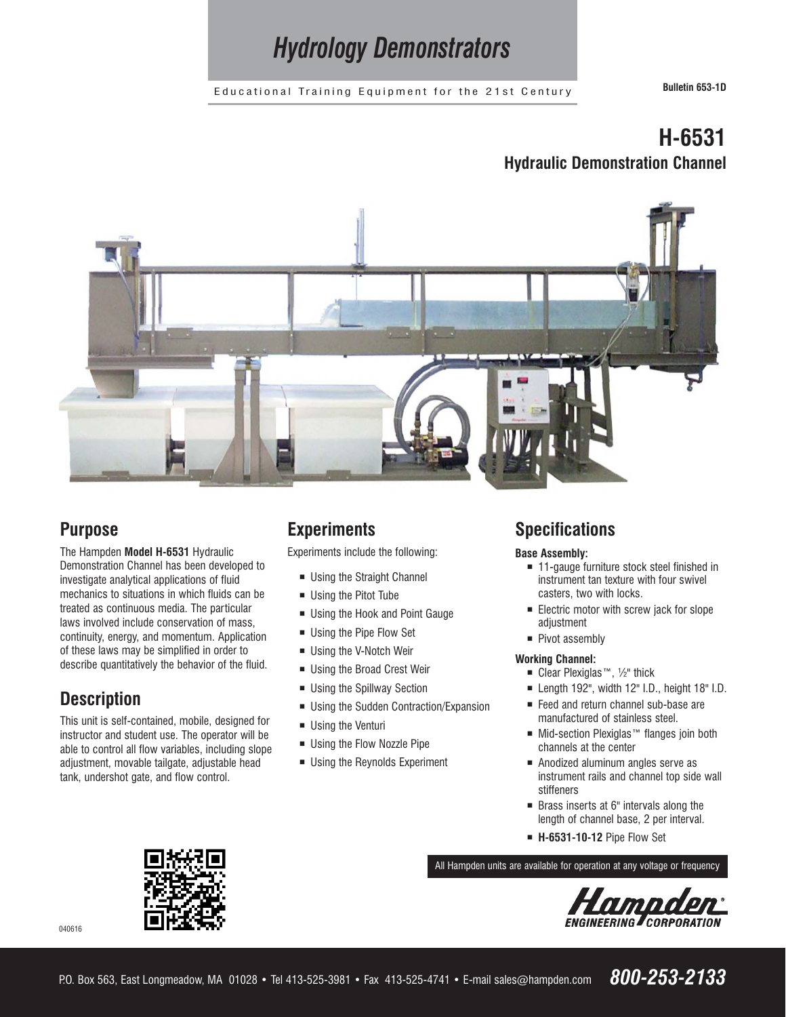*Hydrology Demonstrators*

Educational Training Equipment for the 21st Century **Bulletin 653-1D**

# **H-6531 Hydraulic Demonstration Channel**



# **Purpose**

The Hampden **Model H-6531** Hydraulic Demonstration Channel has been developed to investigate analytical applications of fluid mechanics to situations in which fluids can be treated as continuous media. The particular laws involved include conservation of mass, continuity, energy, and momentum. Application of these laws may be simplified in order to describe quantitatively the behavior of the fluid.

# **Description**

This unit is self-contained, mobile, designed for instructor and student use. The operator will be able to control all flow variables, including slope adjustment, movable tailgate, adjustable head tank, undershot gate, and flow control.

# **Experiments**

Experiments include the following:

- **Using the Straight Channel**
- Using the Pitot Tube
- Using the Hook and Point Gauge
- Using the Pipe Flow Set
- Using the V-Notch Weir
- Using the Broad Crest Weir
- Using the Spillway Section
- **Using the Sudden Contraction/Expansion**
- Using the Venturi
- Using the Flow Nozzle Pipe
- **Using the Reynolds Experiment**

# **Specifications**

## **Base Assembly:**

- 11-gauge furniture stock steel finished in instrument tan texture with four swivel casters, two with locks.
- **Electric motor with screw jack for slope** adjustment
- Pivot assembly

## **Working Channel:**

- Clear Plexiglas™, 1/2" thick
- $\blacksquare$  Length 192", width 12" I.D., height 18" I.D.
- Feed and return channel sub-base are manufactured of stainless steel.
- Mid-section Plexiglas<sup>™</sup> flanges join both channels at the center
- Anodized aluminum angles serve as instrument rails and channel top side wall stiffeners
- Brass inserts at 6" intervals along the length of channel base, 2 per interval.
- ¡ **H-6531-10-12** Pipe Flow Set

All Hampden units are available for operation at any voltage or frequency



040616